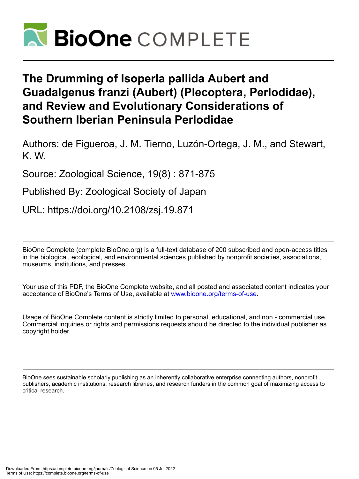

# **The Drumming of Isoperla pallida Aubert and Guadalgenus franzi (Aubert) (Plecoptera, Perlodidae), and Review and Evolutionary Considerations of Southern Iberian Peninsula Perlodidae**

Authors: de Figueroa, J. M. Tierno, Luzón-Ortega, J. M., and Stewart, K. W.

Source: Zoological Science, 19(8) : 871-875

Published By: Zoological Society of Japan

URL: https://doi.org/10.2108/zsj.19.871

BioOne Complete (complete.BioOne.org) is a full-text database of 200 subscribed and open-access titles in the biological, ecological, and environmental sciences published by nonprofit societies, associations, museums, institutions, and presses.

Your use of this PDF, the BioOne Complete website, and all posted and associated content indicates your acceptance of BioOne's Terms of Use, available at www.bioone.org/terms-of-use.

Usage of BioOne Complete content is strictly limited to personal, educational, and non - commercial use. Commercial inquiries or rights and permissions requests should be directed to the individual publisher as copyright holder.

BioOne sees sustainable scholarly publishing as an inherently collaborative enterprise connecting authors, nonprofit publishers, academic institutions, research libraries, and research funders in the common goal of maximizing access to critical research.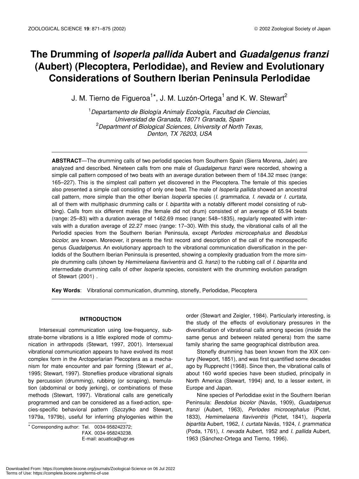## **The Drumming of** *Isoperla pallida* **Aubert and** *Guadalgenus franzi* **(Aubert) (Plecoptera, Perlodidae), and Review and Evolutionary Considerations of Southern Iberian Peninsula Perlodidae**

J. M. Tierno de Figueroa<sup>1\*</sup>, J. M. Luzón-Ortega<sup>1</sup> and K. W. Stewart<sup>2</sup>

1 *Departamento de Biología Animaly Ecología, Facultad de Ciencias, Universidad de Granada, 18071 Granada, Spain* 2 *Department of Biological Sciences, University of North Texas, Denton, TX 76203, USA*

**ABSTRACT**—The drumming calls of two perlodid species from Southern Spain (Sierra Morena, Jaén) are analyzed and described. Nineteen calls from one male of *Guadalgenus franzi* were recorded, showing a simple call pattern composed of two beats with an average duration between them of 184.32 msec (range: 165–227). This is the simplest call pattern yet discovered in the Plecoptera. The female of this species also presented a simple call consisting of only one beat. The male of *Isoperla pallida* showed an ancestral call pattern, more simple than the other Iberian *Isoperla* species (*I. grammatica, I. nevada* or *I. curtata*, all of them with multiphasic drumming calls or *I. bipartita* with a notably different model consisting of rubbing). Calls from six different males (the female did not drum) consisted of an average of 65.94 beats (range: 25–83) with a duration average of 1462.69 msec (range: 548–1835), regularly repeated with intervals with a duration average of 22.27 msec (range: 17–30). With this study, the vibrational calls of all the Perlodid species from the Southern Iberian Peninsula, except *Perlodes microcephalus* and *Besdolus bicolor*, are known. Moreover, it presents the first record and description of the call of the monospecific genus *Guadalgenus*. An evolutionary approach to the vibrational communication diversification in the perlodids of the Southern Iberian Peninsula is presented, showing a complexity graduation from the more simple drumming calls (shown by *Hemimelaena flaviventris* and *G. franzi)* to the rubbing call of *I. bipartita* and intermediate drumming calls of other *Isoperla* species, consistent with the drumming evolution paradigm of Stewart (2001) .

**Key Words**: Vibrational communication, drumming, stonefly, Perlodidae, Plecoptera

#### **INTRODUCTION**

Intersexual communication using low-frequency, substrate-borne vibrations is a little explored mode of communication in arthropods (Stewart, 1997, 2001). Intersexual vibrational communication appears to have evolved its most complex form in the Arctoperlarian Plecoptera as a mechanism for mate encounter and pair forming (Stewart *et al*., 1995; Stewart, 1997). Stoneflies produce vibrational signals by percussion (drumming), rubbing (or scraping), tremulation (abdominal or body jerking), or combinations of these methods (Stewart, 1997). Vibrational calls are genetically programmed and can be considered as a fixed-action, species-specific behavioral pattern (Szczytko and Stewart, 1979a, 1979b), useful for inferring phylogenies within the

\* Corresponding author: Tel. 0034-958242372; FAX. 0034-958243238. E-mail: acuatica@ugr.es order (Stewart and Zeigler, 1984). Particularly interesting, is the study of the effects of evolutionary pressures in the diversification of vibrational calls among species (inside the same genus and between related genera) from the same family sharing the same geographical distribution area.

Stonefly drumming has been known from the XIX century (Newport, 1851), and was first quantified some decades ago by Rupprecht (1968). Since then, the vibrational calls of about 160 world species have been studied, principally in North America (Stewart, 1994) and, to a lesser extent, in Europe and Japan.

Nine species of Perlodidae exist in the Southern Iberian Peninsula: *Besdolus bicolor* (Navás, 1909), *Guadalgenus franzi* (Aubert, 1963), *Perlodes microcephalus* (Pictet, 1833), *Hemimelaena flaviventris* (Pictet, 1841), *Isoperla bipartita* Aubert, 1962, *I. curtata* Navás, 1924, *I. grammatica* (Poda, 1761), *I. nevada* Aubert, 1952 and *I. pallida* Aubert, 1963 (Sánchez-Ortega and Tierno, 1996).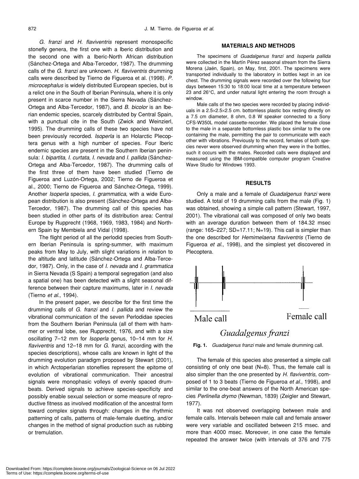*G. franzi* and *H. flaviventris* represent monospecific stonefly genera, the first one with a Iberic distribution and the second one with a Iberic-North African distribution (Sánchez-Ortega and Alba-Tercedor, 1987). The drumming calls of the *G. franzi* are unknown. *H. flaviventris* drumming calls were described by Tierno de Figueroa et al. (1998). *P. microcephalus* is widely distributed European species, but is a relict one in the South of Iberian Peninsula, where it is only present in scarce number in the Sierra Nevada (Sánchez-Ortega and Alba-Tercedor, 1987), and *B. bicolor* is an Iberian endemic species, scarcely distributed by Central Spain, with a punctual cite in the South (Zwick and Weinzierl, 1995). The drumming calls of these two species have not been previously recorded. *Isoperla* is an Holarctic Plecoptera genus with a high number of species. Four Iberic endemic species are present in the Southern Iberian peninsula: *I. bipartita*, *I. curtata*, *I. nevada* and *I. pallida* (Sánchez-Ortega and Alba-Tercedor, 1987). The drumming calls of the first three of them have been studied (Tierno de Figueroa and Luzón-Ortega, 2002; Tierno de Figueroa et al., 2000; Tierno de Figueroa and Sánchez-Ortega, 1999). Another *Isoperla* species, *I. grammatica*, with a wide European distribution is also present (Sánchez-Ortega and Alba-Tercedor, 1987). The drumming call of this species has been studied in other parts of its distribution area: Central Europe by Rupprecht (1968, 1969, 1983, 1984) and Northern Spain by Membiela and Vidal (1998).

The flight period of all the perlodid species from Southern Iberian Peninsula is spring-summer, with maximum peaks from May to July, with slight variations in relation to the altitude and latitude (Sánchez-Ortega and Alba-Tercedor, 1987). Only, in the case of *I. nevada* and *I. grammatica* in Sierra Nevada (S Spain) a temporal segregation (and also a spatial one) has been detected with a slight seasonal difference between their capture maximums, later in *I. nevada* (Tierno *et al*., 1994).

In the present paper, we describe for the first time the drumming calls of *G. franzi* and *I. pallida* and review the vibrational communication of the seven Perlodidae species from the Southern Iberian Peninsula (all of them with hammer or ventral lobe, see Rupprecht, 1976, and with a size oscillating 7–12 mm for *Isoperla* genus, 10–14 mm for *H. flaviventris* and 12–18 mm for *G. franzi*, according with the species descriptions), whose calls are known in light of the drumming evolution paradigm proposed by Stewart (2001), in which Arctoperlarian stoneflies represent the epitome of evolution of vibrational communication. Their ancestral signals were monophasic volleys of evenly spaced drumbeats. Derived signals to achieve species-specificity and possibly enable sexual selection or some measure of reproductive fitness as involved modification of the ancestral form toward complex signals through: changes in the rhythmic patterning of calls, patterns of male-female duetting, and/or changes in the method of signal production such as rubbing or tremulation.

#### **MATERIALS AND METHODS**

The specimens of *Guadalgenus franzi* and *Isoperla pallida* were collected in the Martín Pérez seasonal stream from the Sierra Morena (Jaén, Spain), on May, first, 2001. The specimens were transported individually to the laboratory in bottles kept in an ice chest. The drumming signals were recorded over the following four days between 15:30 to 18:00 local time at a temperature between 23 and 26°C, and under natural light entering the room through a window.

Male calls of the two species were recorded by placing individuals in a 2.5×2.5×2.5 cm. bottomless plastic box resting directly on a 7.5 cm diameter, 8 ohm, 0.8 W speaker connected to a Sony CFS-W350L model cassette-recorder. We placed the female close to the male in a separate bottomless plastic box similar to the one containing the male, permitting the pair to communicate with each other with vibrations. Previously to the record, females of both species never were observed drumming when they were in the bottles, such it occurs with the males. Recorded calls were displayed and measured using the IBM-compatible computer program Creative Wave Studio for Windows 1993.

#### **RESULTS**

Only a male and a female of *Guadalgenus franzi* were studied. A total of 19 drumming calls from the male (Fig. 1) was obtained, showing a simple call pattern (Stewart, 1997, 2001). The vibrational call was composed of only two beats with an average duration between them of 184.32 msec  $($ range: 165–227; SD=17.11; N=19 $)$ . This call is simpler than the one described for *Hemimelaena flaviventris* (Tierno de Figueroa *et al*., 1998), and the simplest yet discovered in Plecoptera.



**Fig. 1.** *Guadalgenus franzi* male and female drumming call.

The female of this species also presented a simple call consisting of only one beat (N=8). Thus, the female call is also simpler than the one presented by *H. flaviventris,* composed of 1 to 3 beats (Tierno de Figueroa *et al*., 1998), and similar to the one-beat answers of the North American species *Perlinella drymo* (Newman, 1839) (Zeigler and Stewart, 1977).

It was not observed overlapping between male and female calls. Intervals between male call and female answer were very variable and oscillated between 215 msec. and more than 4000 msec. Moreover, in one case the female repeated the answer twice (with intervals of 376 and 775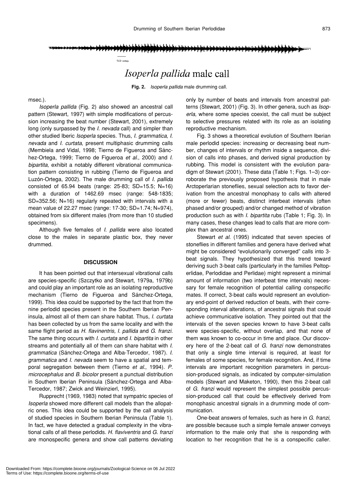$50$  seg

### Isoperla pallida male call

**Fig. 2.** *Isoperla pallida* male drumming call*.*

msec.).

*Isoperla pallida* (Fig. 2) also showed an ancestral call pattern (Stewart, 1997) with simple modifications of percussion increasing the beat number (Stewart, 2001), extremely long (only surpassed by the *I. nevada* call) and simpler than other studied Iberic *Isoperla* species. Thus, *I. grammatica*, *I. nevada* and *I. curtata*, present multiphasic drumming calls (Membiela and Vidal, 1998; Tierno de Figueroa and Sánchez-Ortega, 1999; Tierno de Figueroa *et al*., 2000) and *I. bipartita,* exhibit a notably different vibrational communication pattern consisting in rubbing (Tierno de Figueroa and Luzón-Ortega, 2002). The male drumming call of *I. pallida* consisted of 65.94 beats (range: 25-83; SD=15.5; N=16) with a duration of 1462.69 msec (range: 548-1835; SD=352.56; N=16) regularly repeated with intervals with a mean value of 22.27 msec (range: 17-30; SD=1.74; N=974), obtained from six different males (from more than 10 studied specimens).

Although five females of *I. pallida* were also located close to the males in separate plastic box, they never drummed.

#### **DISCUSSION**

It has been pointed out that intersexual vibrational calls are species-specific (Szczytko and Stewart, 1979a, 1979b) and could play an important role as an isolating reproductive mechanism (Tierno de Figueroa and Sánchez-Ortega, 1999). This idea could be supported by the fact that from the nine perlodid species present in the Southern Iberian Peninsula, almost all of them can share habitat. Thus, *I. curtata* has been collected by us from the same locality and with the same flight period as *H. flavinentris, I. pallida* and *G. franzi.* The same thing occurs with *I. curtata* and *I. bipartita* in other streams and potentially all of them can share habitat with *I. grammatica* (Sánchez-Ortega and Alba-Tercedor, 1987). *I. grammatica* and *I. nevada* seem to have a spatial and temporal segregation between them (Tierno *et al*., 1994). *P. microcephalus* and *B. bicolor* present a punctual distribution in Southern Iberian Peninsula (Sánchez-Ortega and Alba-Tercedor, 1987; Zwick and Weinzierl, 1995).

Rupprecht (1969, 1983) noted that sympatric species of *Isoperla* showed more different call models than the allopatric ones. This idea could be supported by the call analysis of studied species in Southern Iberian Peninsula (Table 1). In fact, we have detected a gradual complexity in the vibrational calls of all these perlodids. *H. flaviventris* and *G. franzi* are monospecific genera and show call patterns deviating

only by number of beats and intervals from ancestral patterns (Stewart, 2001) (Fig. 3). In other genera, such as *Isoperla*, where some species coexist, the call must be subject to selective pressures related with its role as an isolating reproductive mechanism.

Fig. 3 shows a theoretical evolution of Southern Iberian male perlodid species: increasing or decreasing beat number, changes of intervals or rhythm inside a sequence, division of calls into phases, and derived signal production by rubbing. This model is consistent with the evolution paradigm of Stewart (2001). These data (Table 1; Figs. 1–3) corroborate the previously proposed hypothesis that in male Arctoperlarian stoneflies, sexual selection acts to favor derivation from the ancestral monophasy to calls with altered (more or fewer) beats, distinct interbeat intervals (often phased and/or grouped) and/or changed method of vibration production such as with *I. bipartita* rubs (Table 1; Fig. 3). In many cases, these changes lead to calls that are more complex than ancestral ones.

Stewart *et al*. (1995) indicated that seven species of stoneflies in different families and genera have derived what might be considered "evolutionarily converged" calls into 3 beat signals. They hypothesized that this trend toward deriving such 3-beat calls (particularly in the families Peltoperlidae, Perlodidae and Perlidae) might represent a minimal amount of information (two interbeat time intervals) necessary for female recognition of potential calling conspecific mates. If correct, 3-beat calls would represent an evolutionary end-point of derived reduction of beats, with their corresponding interval alterations, of ancestral signals that could achieve communicative isolation. They pointed out that the intervals of the seven species known to have 3-beat calls were species-specific, without overlap, and that none of them was known to co-occur in time and place. Our discovery here of the 2-beat call of *G. franzi* now demonstrates that only a single time interval is required, at least for females of some species, for female recognition. And, if time intervals are important recognition parameters in percussion-produced signals, as indicated by computer-simulation models (Stewart and Maketon, 1990), then this 2-beat call of *G. franzi* would represent the simplest possible percussion-produced call that could be effectively derived from monophasic ancestral signals in a drumming mode of communication.

One-beat answers of females, such as here in *G. franzi*, are possible because such a simple female answer conveys information to the male only that she is responding with location to her recognition that he is a conspecific caller.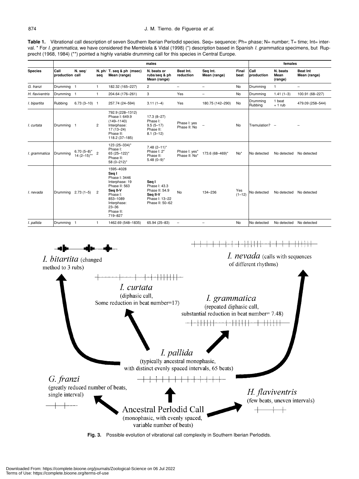Table 1. Vibrational call description of seven Southern Iberian Perlodid species. Seq= sequence; Ph= phase; N= number; T= time; Int= interval. \* For *I. grammatica*, we have considered the Membiela & Vidal (1998) (\*) description based in Spanish *I. grammatica* specimens, but Rupprecht (1968, 1984) (\*\*) pointed a highly variable drumming call for this species in Central Europe.

|                 |                         |                                |                |                                                                                                                                                                | males                                                                                     |                                |                          | females           |                     |                             |                                 |
|-----------------|-------------------------|--------------------------------|----------------|----------------------------------------------------------------------------------------------------------------------------------------------------------------|-------------------------------------------------------------------------------------------|--------------------------------|--------------------------|-------------------|---------------------|-----------------------------|---------------------------------|
| <b>Species</b>  | Call<br>production call | N. seq/                        | seq            | N. ph/ T. seq & ph (msec)<br>Mean (range)                                                                                                                      | N. beats or<br>rubs/seq & ph<br>Mean (range)                                              | Beat Int.<br>reduction         | Seg Int.<br>Mean (range) | Final<br>beat     | Call<br>production  | N. beats<br>Mean<br>(range) | <b>Beat Int</b><br>Mean (range) |
| G. franzi       | Drumming 1              |                                | $\mathbf{1}$   | 182.32 (165-227)                                                                                                                                               | $\overline{c}$                                                                            | $\overline{\phantom{a}}$       | $\overline{\phantom{m}}$ | <b>No</b>         | Drumming            | 1                           | $\overline{\phantom{0}}$        |
| H. flaviventris | Drumming 1              |                                | $\mathbf{1}$   | 204.64 (176-261)                                                                                                                                               | 3                                                                                         | Yes                            | $\overline{\phantom{0}}$ | <b>No</b>         | Drumming            | $1.41(1-3)$                 | 100.91 (68-227)                 |
| I. bipartita    | Rubbing                 | $6.73(3 - 10)$ 1               |                | 257.74 (24-594)                                                                                                                                                | $3.11(1-4)$                                                                               | Yes                            | 180.75 (142-290)         | No                | Drumming<br>Rubbing | 1 beat<br>$+1$ rub          | 479.09 (258-544)                |
| I. curtata      | Drumming 1              |                                | $\overline{2}$ | 792.9 (228-1312)<br>Phase I: 649.9<br>$(149 - 1140)$<br>Interphase:<br>$17(13 - 24)$<br>Phase II:<br>118.2 (37-185)                                            | $17.3(8-27)$<br>Phase I:<br>$9.5(5-17)$<br>Phase II:<br>$8.1(3-12)$                       | Phase I: yes<br>Phase II: No   | $\overline{\phantom{a}}$ | <b>No</b>         | Tremulation? -      |                             |                                 |
| I. grammatica   | Drumming                | $6.70(5-8)^*$<br>$14(2-15)$ ** | $\overline{c}$ | 123 (25-334)*<br>Phase I:<br>65 (25-122)*<br>Phase II:<br>58 (0-212)*                                                                                          | $7.48(2 - 11)^*$<br>Phase I: 2*<br>Phase II:<br>$5.48(0-9)$ *                             | Phase I: yes*<br>Phase II: No* | 173.6 (68-469)*          | No <sup>*</sup>   | No detected         | No detected                 | No detected                     |
| I. nevada       | Drumming                | $2.73(1-5)$                    | $\overline{2}$ | 1595-4028<br>Seq I<br>Phase I: 3446<br>Interphase: 19<br>Phase II: 563<br>Seq II-V<br>Phase I:<br>853-1089<br>Interphase:<br>$23 - 36$<br>Phase II:<br>719-827 | Seg I<br>Phase I: 43.3<br>Phase II: 54.9<br>Seg II-V<br>Phase I: 13-22<br>Phase II: 50-62 | <b>No</b>                      | 134-236                  | Yes<br>$(1 - 12)$ | No detected         | No detected                 | No detected                     |
| I. pallida      | Drumming 1              |                                | $\mathbf{1}$   | 1462.69 (548-1835)                                                                                                                                             | 65.94 (25-83)                                                                             | $\overline{\phantom{m}}$       | $\overline{\phantom{m}}$ | No                | No detected         | No detected                 | No detected                     |



**Fig. 3.** Possible evolution of vibrational call complexity in Southern Iberian Perlodids.